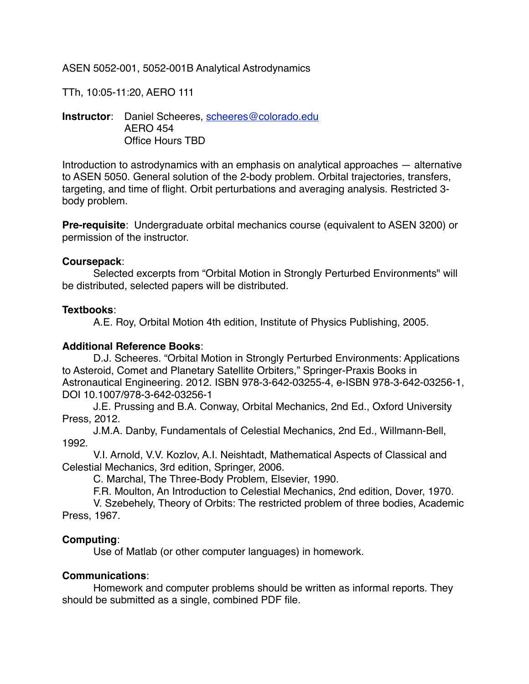ASEN 5052-001, 5052-001B Analytical Astrodynamics

TTh, 10:05-11:20, AERO 111

**Instructor**: Daniel Scheeres, [scheeres@colorado.edu](mailto:scheeres@colorado.edu) AERO 454 Office Hours TBD

Introduction to astrodynamics with an emphasis on analytical approaches — alternative to ASEN 5050. General solution of the 2-body problem. Orbital trajectories, transfers, targeting, and time of flight. Orbit perturbations and averaging analysis. Restricted 3 body problem.

**Pre-requisite**: Undergraduate orbital mechanics course (equivalent to ASEN 3200) or permission of the instructor.

#### **Coursepack**:

Selected excerpts from "Orbital Motion in Strongly Perturbed Environments" will be distributed, selected papers will be distributed.

# **Textbooks**:

A.E. Roy, Orbital Motion 4th edition, Institute of Physics Publishing, 2005.

# **Additional Reference Books**:

D.J. Scheeres. "Orbital Motion in Strongly Perturbed Environments: Applications to Asteroid, Comet and Planetary Satellite Orbiters," Springer-Praxis Books in Astronautical Engineering. 2012. ISBN 978-3-642-03255-4, e-ISBN 978-3-642-03256-1, DOI 10.1007/978-3-642-03256-1

J.E. Prussing and B.A. Conway, Orbital Mechanics, 2nd Ed., Oxford University Press, 2012.

J.M.A. Danby, Fundamentals of Celestial Mechanics, 2nd Ed., Willmann-Bell, 1992.

V.I. Arnold, V.V. Kozlov, A.I. Neishtadt, Mathematical Aspects of Classical and Celestial Mechanics, 3rd edition, Springer, 2006.

C. Marchal, The Three-Body Problem, Elsevier, 1990.

F.R. Moulton, An Introduction to Celestial Mechanics, 2nd edition, Dover, 1970.

V. Szebehely, Theory of Orbits: The restricted problem of three bodies, Academic Press, 1967.

# **Computing**:

Use of Matlab (or other computer languages) in homework.

# **Communications**:

Homework and computer problems should be written as informal reports. They should be submitted as a single, combined PDF file.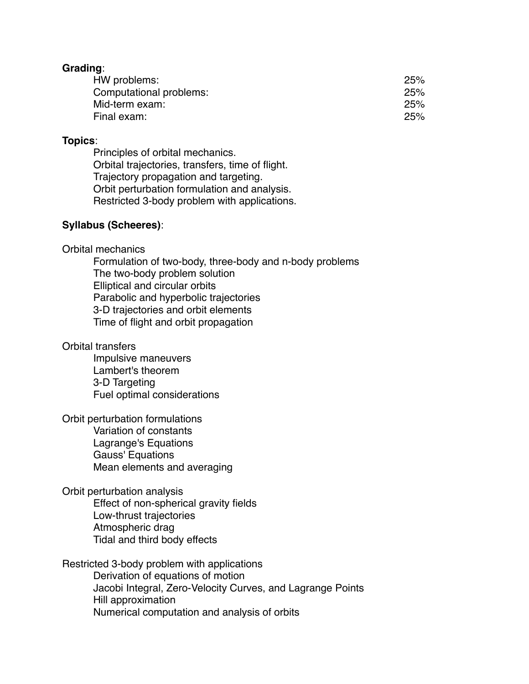#### **Grading**:

| HW problems:            | 25% |
|-------------------------|-----|
| Computational problems: | 25% |
| Mid-term exam:          | 25% |
| Final exam:             | 25% |

#### **Topics**:

Principles of orbital mechanics. Orbital trajectories, transfers, time of flight. Trajectory propagation and targeting. Orbit perturbation formulation and analysis. Restricted 3-body problem with applications.

#### **Syllabus (Scheeres)**:

#### Orbital mechanics

Formulation of two-body, three-body and n-body problems The two-body problem solution Elliptical and circular orbits Parabolic and hyperbolic trajectories 3-D trajectories and orbit elements Time of flight and orbit propagation

#### Orbital transfers

Impulsive maneuvers Lambert's theorem 3-D Targeting Fuel optimal considerations

Orbit perturbation formulations Variation of constants Lagrange's Equations Gauss' Equations Mean elements and averaging

Orbit perturbation analysis Effect of non-spherical gravity fields Low-thrust trajectories Atmospheric drag Tidal and third body effects

Restricted 3-body problem with applications Derivation of equations of motion Jacobi Integral, Zero-Velocity Curves, and Lagrange Points Hill approximation Numerical computation and analysis of orbits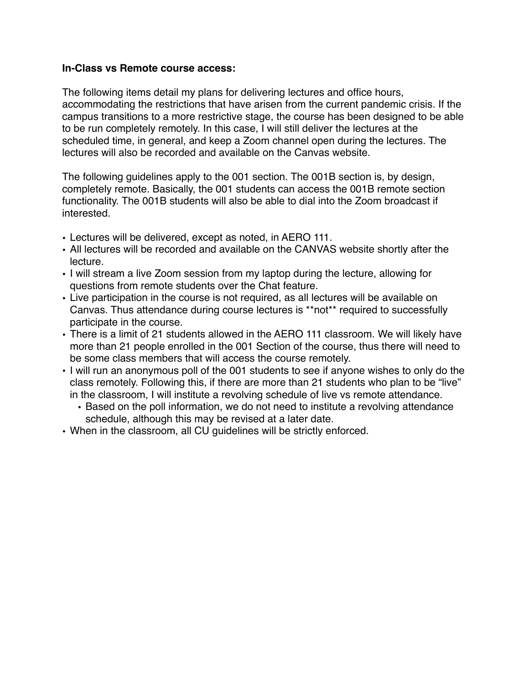#### **In-Class vs Remote course access:**

The following items detail my plans for delivering lectures and office hours, accommodating the restrictions that have arisen from the current pandemic crisis. If the campus transitions to a more restrictive stage, the course has been designed to be able to be run completely remotely. In this case, I will still deliver the lectures at the scheduled time, in general, and keep a Zoom channel open during the lectures. The lectures will also be recorded and available on the Canvas website.

The following guidelines apply to the 001 section. The 001B section is, by design, completely remote. Basically, the 001 students can access the 001B remote section functionality. The 001B students will also be able to dial into the Zoom broadcast if interested.

- Lectures will be delivered, except as noted, in AERO 111.
- All lectures will be recorded and available on the CANVAS website shortly after the lecture.
- I will stream a live Zoom session from my laptop during the lecture, allowing for questions from remote students over the Chat feature.
- Live participation in the course is not required, as all lectures will be available on Canvas. Thus attendance during course lectures is \*\*not\*\* required to successfully participate in the course.
- There is a limit of 21 students allowed in the AERO 111 classroom. We will likely have more than 21 people enrolled in the 001 Section of the course, thus there will need to be some class members that will access the course remotely.
- I will run an anonymous poll of the 001 students to see if anyone wishes to only do the class remotely. Following this, if there are more than 21 students who plan to be "live" in the classroom, I will institute a revolving schedule of live vs remote attendance.
	- Based on the poll information, we do not need to institute a revolving attendance schedule, although this may be revised at a later date.
- When in the classroom, all CU guidelines will be strictly enforced.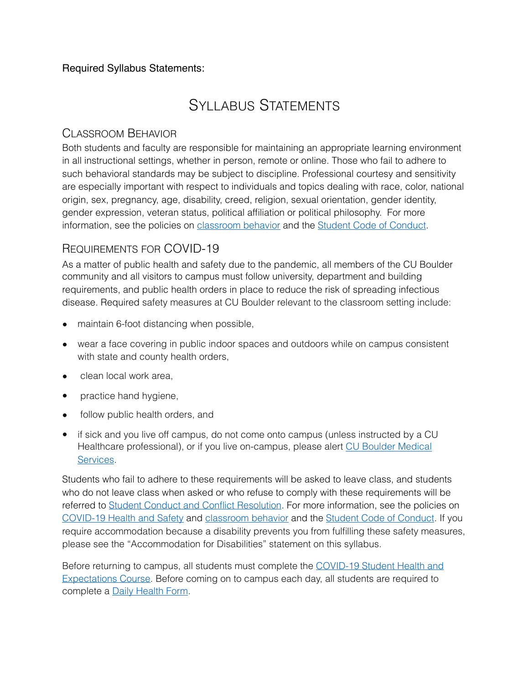# Required Syllabus Statements:

# SYLLABUS STATEMENTS

# CLASSROOM BEHAVIOR

Both students and faculty are responsible for maintaining an appropriate learning environment in all instructional settings, whether in person, remote or online. Those who fail to adhere to such behavioral standards may be subject to discipline. Professional courtesy and sensitivity are especially important with respect to individuals and topics dealing with race, color, national origin, sex, pregnancy, age, disability, creed, religion, sexual orientation, gender identity, gender expression, veteran status, political affiliation or political philosophy. For more information, see the policies on [classroom behavior](http://www.colorado.edu/policies/student-classroom-and-course-related-behavior) and the [Student Code of Conduct](https://www.colorado.edu/sccr/sites/default/files/attached-files/2019-2020_student_code_of_conduct_0.pdf).

# REQUIREMENTS FOR COVID-19

As a matter of public health and safety due to the pandemic, all members of the CU Boulder community and all visitors to campus must follow university, department and building requirements, and public health orders in place to reduce the risk of spreading infectious disease. Required safety measures at CU Boulder relevant to the classroom setting include:

- maintain 6-foot distancing when possible,
- wear a face covering in public indoor spaces and outdoors while on campus consistent with state and county health orders,
- clean local work area,
- practice hand hygiene,
- follow public health orders, and
- if sick and you live off campus, do not come onto campus (unless instructed by a CU Healthcare professional), or if you live on-campus, please alert [CU Boulder Medical](https://www.colorado.edu/healthcenter/coronavirus-updates/symptoms-and-what-do-if-you-feel-sick)  [Services](https://www.colorado.edu/healthcenter/coronavirus-updates/symptoms-and-what-do-if-you-feel-sick).

Students who fail to adhere to these requirements will be asked to leave class, and students who do not leave class when asked or who refuse to comply with these requirements will be referred to [Student Conduct and Conflict Resolution.](https://www.colorado.edu/sccr/) For more information, see the policies on [COVID-19 Health and Safety](https://www.colorado.edu/policies/covid-19-health-and-safety-policy) and [classroom behavior](http://www.colorado.edu/policies/student-classroom-and-course-related-behavior) and the [Student Code of Conduct.](http://www.colorado.edu/osccr/) If you require accommodation because a disability prevents you from fulfilling these safety measures, please see the "Accommodation for Disabilities" statement on this syllabus.

Before returning to campus, all students must complete the [COVID-19 Student Health and](https://www.colorado.edu/protect-our-herd/how#anchor1)  [Expectations Course](https://www.colorado.edu/protect-our-herd/how#anchor1). Before coming on to campus each day, all students are required to complete a [Daily Health Form.](https://www.colorado.edu/protect-our-herd/daily-health-form)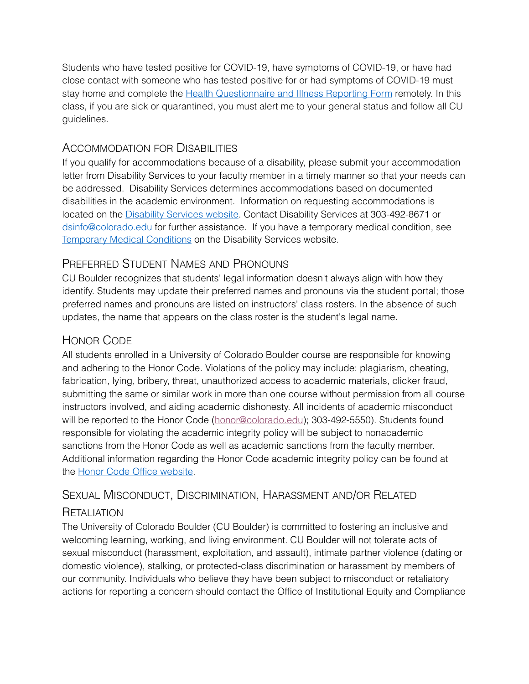Students who have tested positive for COVID-19, have symptoms of COVID-19, or have had close contact with someone who has tested positive for or had symptoms of COVID-19 must stay home and complete the [Health Questionnaire and Illness Reporting Form](https://www.colorado.edu/protect-our-herd/daily-health-form) remotely. In this class, if you are sick or quarantined, you must alert me to your general status and follow all CU guidelines.

# ACCOMMODATION FOR DISABILITIES

If you qualify for accommodations because of a disability, please submit your accommodation letter from Disability Services to your faculty member in a timely manner so that your needs can be addressed. Disability Services determines accommodations based on documented disabilities in the academic environment. Information on requesting accommodations is located on the [Disability Services website](https://www.colorado.edu/disabilityservices/). Contact Disability Services at 303-492-8671 or [dsinfo@colorado.edu](mailto:dsinfo@colorado.edu) for further assistance. If you have a temporary medical condition, see [Temporary Medical Conditions](http://www.colorado.edu/disabilityservices/students/temporary-medical-conditions) on the Disability Services website.

# PREFERRED STUDENT NAMES AND PRONOUNS

CU Boulder recognizes that students' legal information doesn't always align with how they identify. Students may update their preferred names and pronouns via the student portal; those preferred names and pronouns are listed on instructors' class rosters. In the absence of such updates, the name that appears on the class roster is the student's legal name.

# HONOR CODE

All students enrolled in a University of Colorado Boulder course are responsible for knowing and adhering to the Honor Code. Violations of the policy may include: plagiarism, cheating, fabrication, lying, bribery, threat, unauthorized access to academic materials, clicker fraud, submitting the same or similar work in more than one course without permission from all course instructors involved, and aiding academic dishonesty. All incidents of academic misconduct will be reported to the Honor Code ([honor@colorado.edu](mailto:honor@colorado.edu)); 303-492-5550). Students found responsible for violating the academic integrity policy will be subject to nonacademic sanctions from the Honor Code as well as academic sanctions from the faculty member. Additional information regarding the Honor Code academic integrity policy can be found at the [Honor Code Office website](https://www.colorado.edu/osccr/honor-code).

# SEXUAL MISCONDUCT, DISCRIMINATION, HARASSMENT AND/OR RELATED

# **RETALIATION**

The University of Colorado Boulder (CU Boulder) is committed to fostering an inclusive and welcoming learning, working, and living environment. CU Boulder will not tolerate acts of sexual misconduct (harassment, exploitation, and assault), intimate partner violence (dating or domestic violence), stalking, or protected-class discrimination or harassment by members of our community. Individuals who believe they have been subject to misconduct or retaliatory actions for reporting a concern should contact the Office of Institutional Equity and Compliance